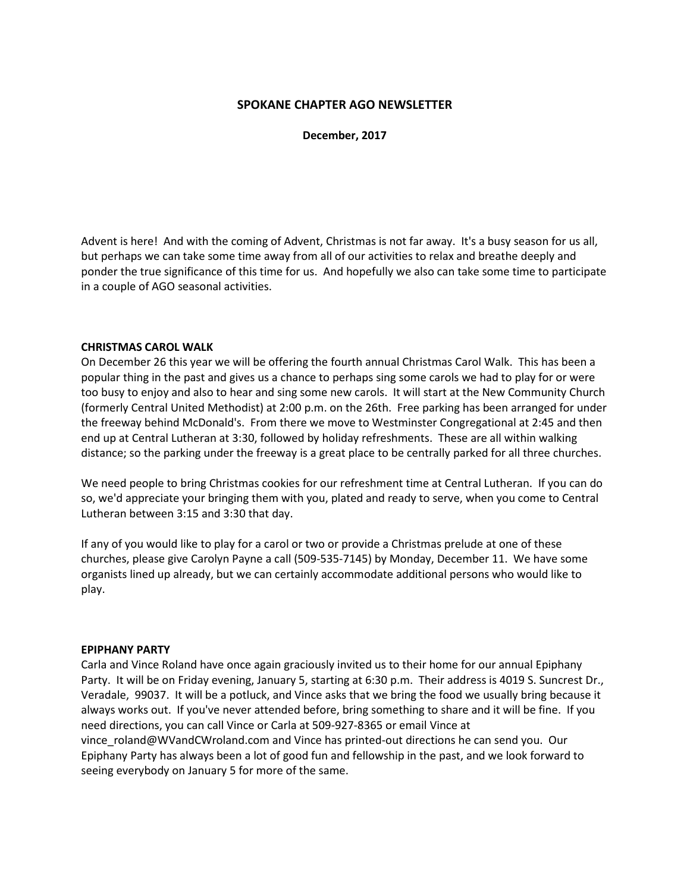#### **SPOKANE CHAPTER AGO NEWSLETTER**

**December, 2017** 

Advent is here! And with the coming of Advent, Christmas is not far away. It's a busy season for us all, but perhaps we can take some time away from all of our activities to relax and breathe deeply and ponder the true significance of this time for us. And hopefully we also can take some time to participate in a couple of AGO seasonal activities.

#### **CHRISTMAS CAROL WALK**

On December 26 this year we will be offering the fourth annual Christmas Carol Walk. This has been a popular thing in the past and gives us a chance to perhaps sing some carols we had to play for or were too busy to enjoy and also to hear and sing some new carols. It will start at the New Community Church (formerly Central United Methodist) at 2:00 p.m. on the 26th. Free parking has been arranged for under the freeway behind McDonald's. From there we move to Westminster Congregational at 2:45 and then end up at Central Lutheran at 3:30, followed by holiday refreshments. These are all within walking distance; so the parking under the freeway is a great place to be centrally parked for all three churches.

We need people to bring Christmas cookies for our refreshment time at Central Lutheran. If you can do so, we'd appreciate your bringing them with you, plated and ready to serve, when you come to Central Lutheran between 3:15 and 3:30 that day.

If any of you would like to play for a carol or two or provide a Christmas prelude at one of these churches, please give Carolyn Payne a call (509-535-7145) by Monday, December 11. We have some organists lined up already, but we can certainly accommodate additional persons who would like to play.

#### **EPIPHANY PARTY**

Carla and Vince Roland have once again graciously invited us to their home for our annual Epiphany Party. It will be on Friday evening, January 5, starting at 6:30 p.m. Their address is 4019 S. Suncrest Dr., Veradale, 99037. It will be a potluck, and Vince asks that we bring the food we usually bring because it always works out. If you've never attended before, bring something to share and it will be fine. If you need directions, you can call Vince or Carla at 509-927-8365 or email Vince at vince\_roland@WVandCWroland.com and Vince has printed-out directions he can send you. Our Epiphany Party has always been a lot of good fun and fellowship in the past, and we look forward to seeing everybody on January 5 for more of the same.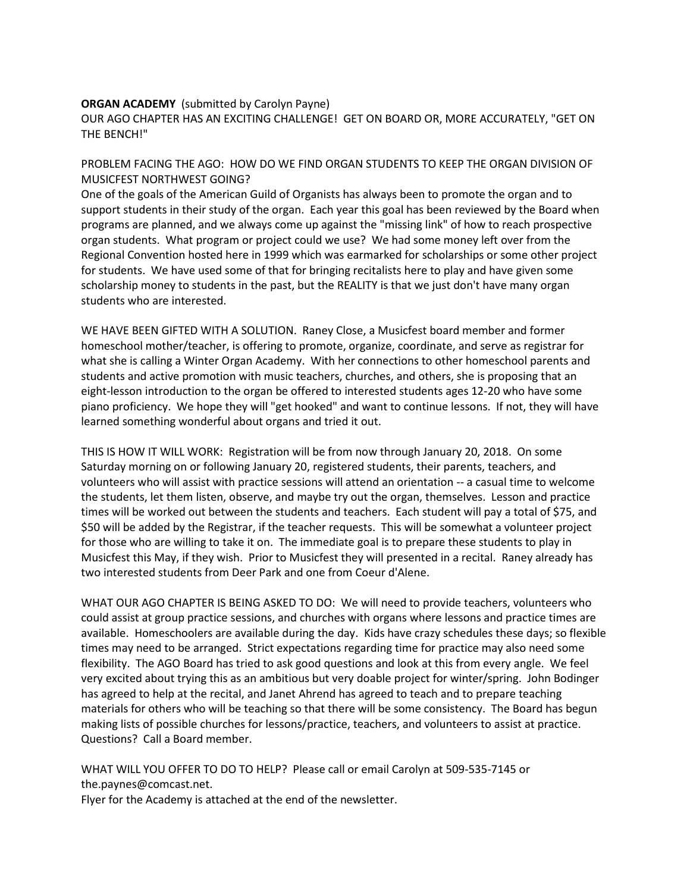#### **ORGAN ACADEMY** (submitted by Carolyn Payne)

OUR AGO CHAPTER HAS AN EXCITING CHALLENGE! GET ON BOARD OR, MORE ACCURATELY, "GET ON THE BENCH!"

#### PROBLEM FACING THE AGO: HOW DO WE FIND ORGAN STUDENTS TO KEEP THE ORGAN DIVISION OF MUSICFEST NORTHWEST GOING?

One of the goals of the American Guild of Organists has always been to promote the organ and to support students in their study of the organ. Each year this goal has been reviewed by the Board when programs are planned, and we always come up against the "missing link" of how to reach prospective organ students. What program or project could we use? We had some money left over from the Regional Convention hosted here in 1999 which was earmarked for scholarships or some other project for students. We have used some of that for bringing recitalists here to play and have given some scholarship money to students in the past, but the REALITY is that we just don't have many organ students who are interested.

WE HAVE BEEN GIFTED WITH A SOLUTION. Raney Close, a Musicfest board member and former homeschool mother/teacher, is offering to promote, organize, coordinate, and serve as registrar for what she is calling a Winter Organ Academy. With her connections to other homeschool parents and students and active promotion with music teachers, churches, and others, she is proposing that an eight-lesson introduction to the organ be offered to interested students ages 12-20 who have some piano proficiency. We hope they will "get hooked" and want to continue lessons. If not, they will have learned something wonderful about organs and tried it out.

THIS IS HOW IT WILL WORK: Registration will be from now through January 20, 2018. On some Saturday morning on or following January 20, registered students, their parents, teachers, and volunteers who will assist with practice sessions will attend an orientation -- a casual time to welcome the students, let them listen, observe, and maybe try out the organ, themselves. Lesson and practice times will be worked out between the students and teachers. Each student will pay a total of \$75, and \$50 will be added by the Registrar, if the teacher requests. This will be somewhat a volunteer project for those who are willing to take it on. The immediate goal is to prepare these students to play in Musicfest this May, if they wish. Prior to Musicfest they will presented in a recital. Raney already has two interested students from Deer Park and one from Coeur d'Alene.

WHAT OUR AGO CHAPTER IS BEING ASKED TO DO: We will need to provide teachers, volunteers who could assist at group practice sessions, and churches with organs where lessons and practice times are available. Homeschoolers are available during the day. Kids have crazy schedules these days; so flexible times may need to be arranged. Strict expectations regarding time for practice may also need some flexibility. The AGO Board has tried to ask good questions and look at this from every angle. We feel very excited about trying this as an ambitious but very doable project for winter/spring. John Bodinger has agreed to help at the recital, and Janet Ahrend has agreed to teach and to prepare teaching materials for others who will be teaching so that there will be some consistency. The Board has begun making lists of possible churches for lessons/practice, teachers, and volunteers to assist at practice. Questions? Call a Board member.

WHAT WILL YOU OFFER TO DO TO HELP? Please call or email Carolyn at 509-535-7145 or the.paynes@comcast.net.

Flyer for the Academy is attached at the end of the newsletter.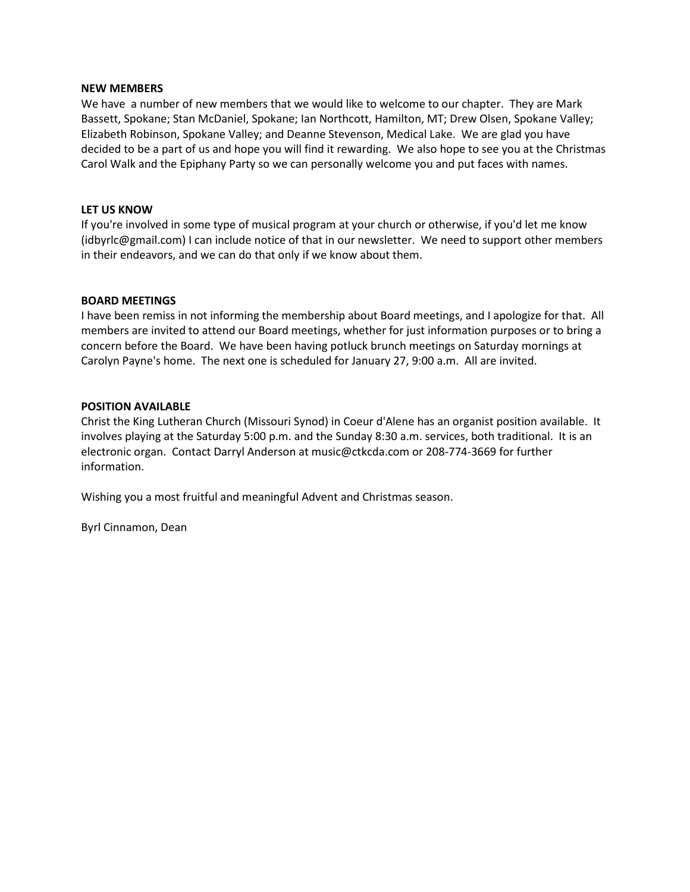#### **NEW MEMBERS**

We have a number of new members that we would like to welcome to our chapter. They are Mark Bassett, Spokane; Stan McDaniel, Spokane; Ian Northcott, Hamilton, MT; Drew Olsen, Spokane Valley; Elizabeth Robinson, Spokane Valley; and Deanne Stevenson, Medical Lake. We are glad you have decided to be a part of us and hope you will find it rewarding. We also hope to see you at the Christmas Carol Walk and the Epiphany Party so we can personally welcome you and put faces with names.

#### **LET US KNOW**

If you're involved in some type of musical program at your church or otherwise, if you'd let me know (idbyrlc@gmail.com) I can include notice of that in our newsletter. We need to support other members in their endeavors, and we can do that only if we know about them.

#### **BOARD MEETINGS**

I have been remiss in not informing the membership about Board meetings, and I apologize for that. All members are invited to attend our Board meetings, whether for just information purposes or to bring a concern before the Board. We have been having potluck brunch meetings on Saturday mornings at Carolyn Payne's home. The next one is scheduled for January 27, 9:00 a.m. All are invited.

#### **POSITION AVAILABLE**

Christ the King Lutheran Church (Missouri Synod) in Coeur d'Alene has an organist position available. It involves playing at the Saturday 5:00 p.m. and the Sunday 8:30 a.m. services, both traditional. It is an electronic organ. Contact Darryl Anderson at music@ctkcda.com or 208-774-3669 for further information.

Wishing you a most fruitful and meaningful Advent and Christmas season.

Byrl Cinnamon, Dean